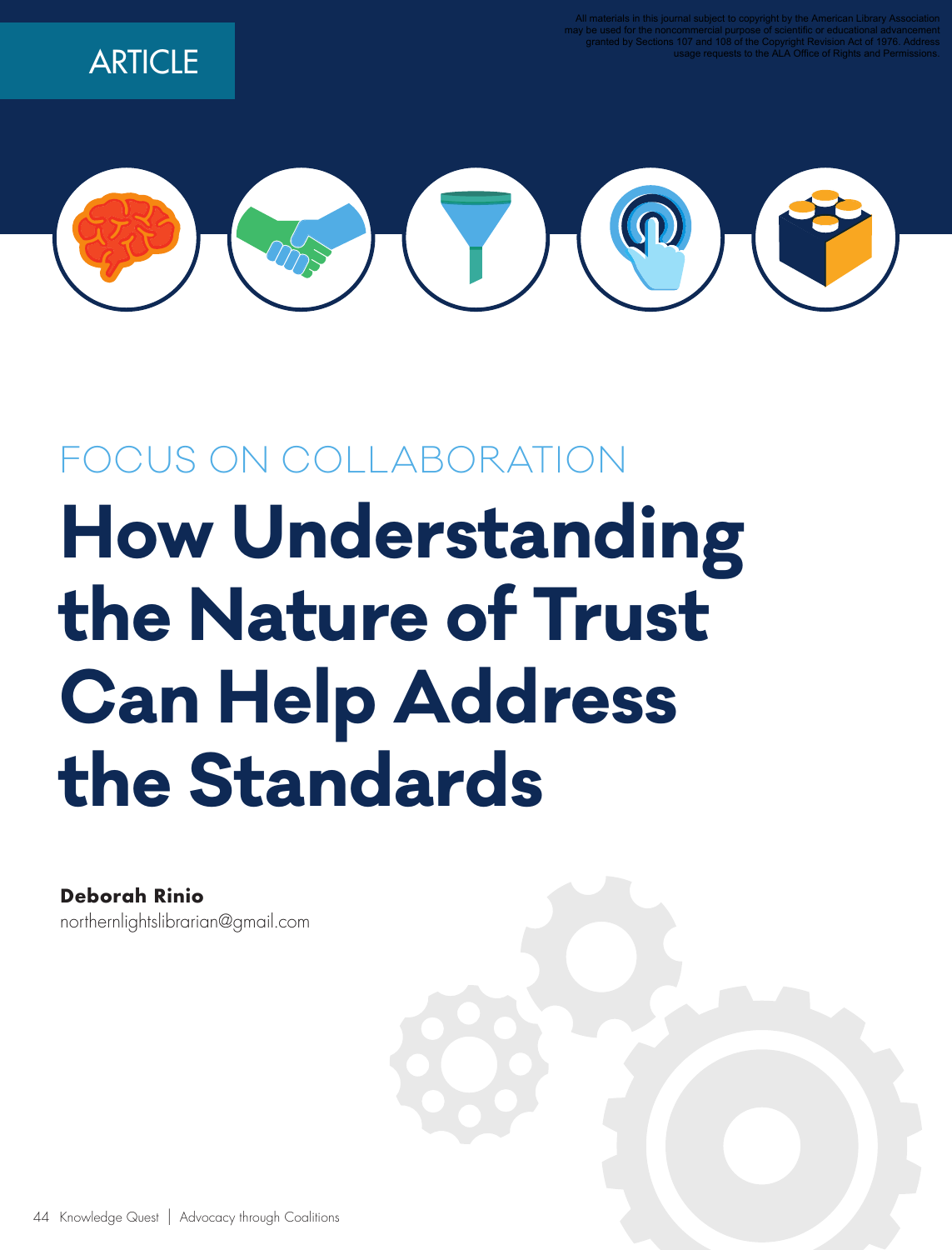**ARTICLE** 



# FOCUS ON COLLABORATION **How Understanding the Nature of Trust Can Help Address the Standards**

**Deborah Rinio** northernlightslibrarian@gmail.com

44 Knowledge Quest | Advocacy through Coalitions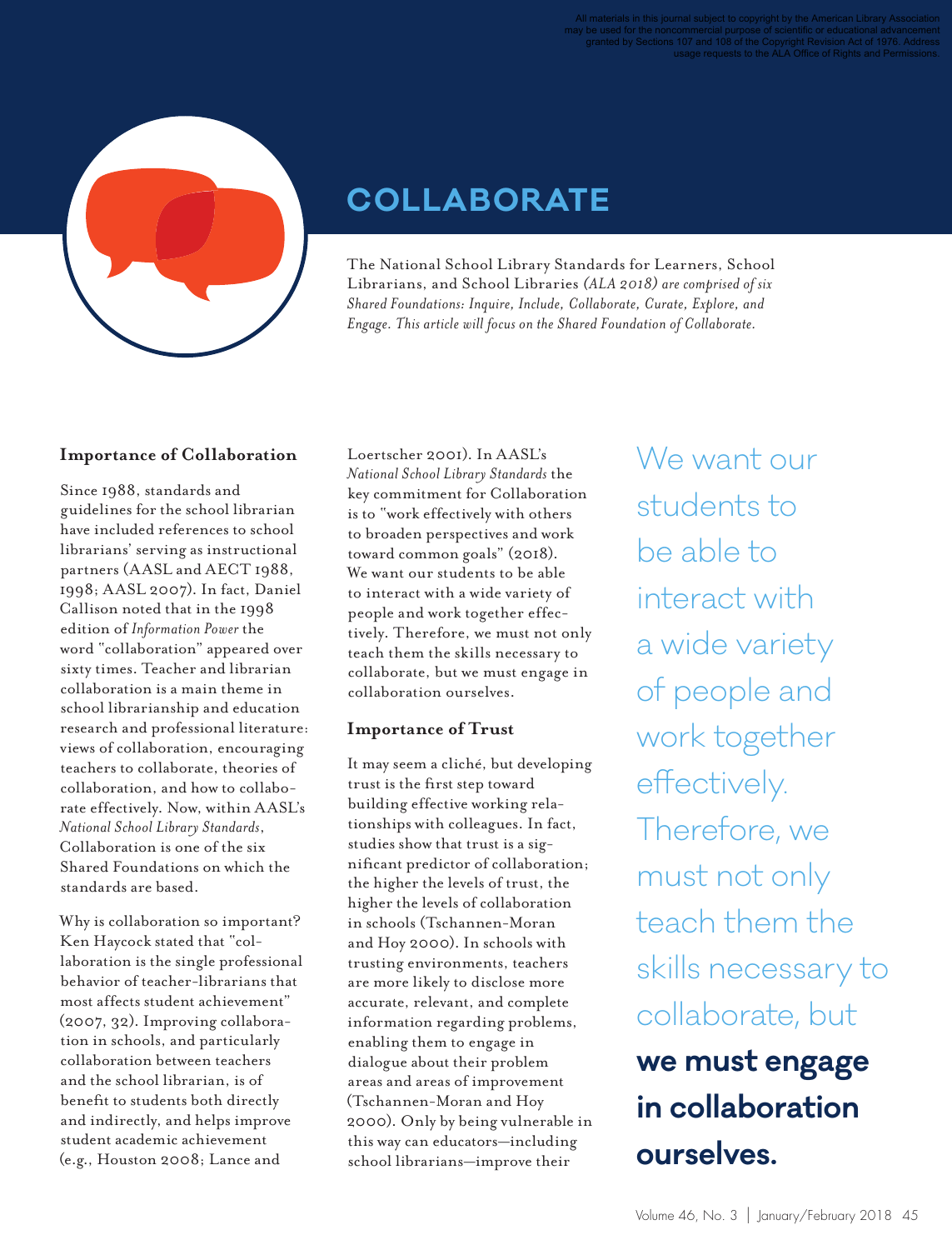

### **COLLABORATE**

The National School Library Standards for Learners, School Librarians, and School Libraries *(ALA 2018) are comprised of six Shared Foundations: Inquire, Include, Collaborate, Curate, Explore, and Engage. This article will focus on the Shared Foundation of Collaborate.*

#### **Importance of Collaboration**

Since 1988, standards and guidelines for the school librarian have included references to school librarians' serving as instructional partners (AASL and AECT 1988, 1998; AASL 2007). In fact, Daniel Callison noted that in the 1998 edition of *Information Power* the word "collaboration" appeared over sixty times. Teacher and librarian collaboration is a main theme in school librarianship and education research and professional literature: views of collaboration, encouraging teachers to collaborate, theories of collaboration, and how to collaborate effectively. Now, within AASL's *National School Library Standards*, Collaboration is one of the six Shared Foundations on which the standards are based.

Why is collaboration so important? Ken Haycock stated that "collaboration is the single professional behavior of teacher-librarians that most affects student achievement" (2007, 32). Improving collaboration in schools, and particularly collaboration between teachers and the school librarian, is of benefit to students both directly and indirectly, and helps improve student academic achievement (e.g., Houston 2008; Lance and

Loertscher 2001). In AASL's *National School Library Standards* the key commitment for Collaboration is to "work effectively with others to broaden perspectives and work toward common goals" (2018). We want our students to be able to interact with a wide variety of people and work together effectively. Therefore, we must not only teach them the skills necessary to collaborate, but we must engage in collaboration ourselves.

#### **Importance of Trust**

It may seem a cliché, but developing trust is the first step toward building effective working relationships with colleagues. In fact, studies show that trust is a significant predictor of collaboration; the higher the levels of trust, the higher the levels of collaboration in schools (Tschannen-Moran and Hoy 2000). In schools with trusting environments, teachers are more likely to disclose more accurate, relevant, and complete information regarding problems, enabling them to engage in dialogue about their problem areas and areas of improvement (Tschannen-Moran and Hoy 2000). Only by being vulnerable in this way can educators—including school librarians—improve their

We want our students to be able to interact with a wide variety of people and work together effectively. Therefore, we must not only teach them the skills necessary to collaborate, but **we must engage in collaboration ourselves.**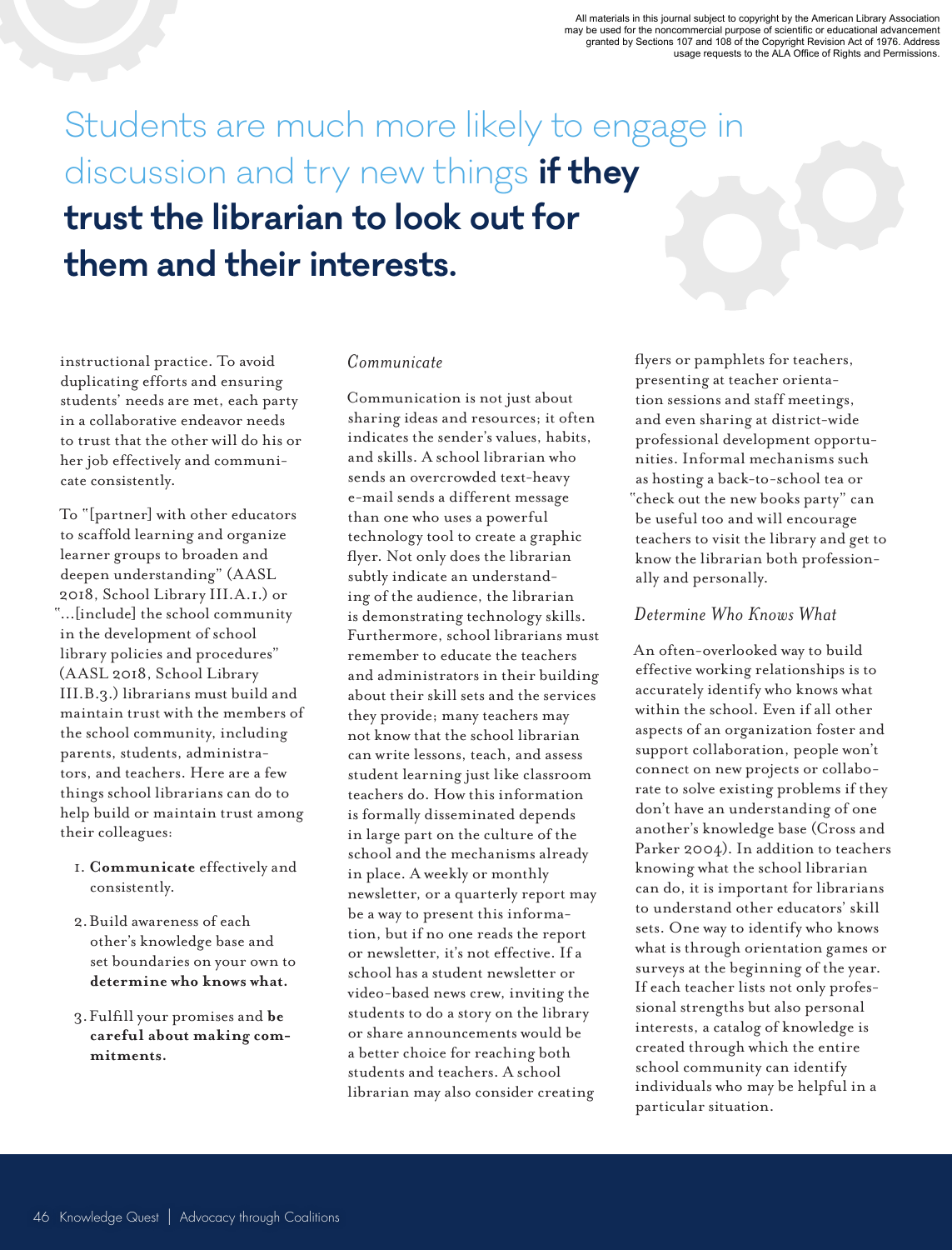All materials in this journal subject to copyright by the American Library Association<br>may be used for the noncommercial purpose of scientific or educational advancement<br>granted by Sections 107 and 108 of the Copyright Rev

## Students are much more likely to engage in discussion and try new things **if they trust the librarian to look out for them and their interests.**

instructional practice. To avoid duplicating efforts and ensuring students' needs are met, each party in a collaborative endeavor needs to trust that the other will do his or her job effectively and communicate consistently.

To "[partner] with other educators to scaffold learning and organize learner groups to broaden and deepen understanding" (AASL 2018, School Library III.A.1.) or "...[include] the school community in the development of school library policies and procedures" (AASL 2018, School Library III.B.3.) librarians must build and maintain trust with the members of the school community, including parents, students, administrators, and teachers. Here are a few things school librarians can do to help build or maintain trust among their colleagues:

- 1. **Communicate** effectively and consistently.
- 2.Build awareness of each other's knowledge base and set boundaries on your own to **determine who knows what.**
- 3.Fulfill your promises and **be careful about making commitments.**

#### *Communicate*

Communication is not just about sharing ideas and resources; it often indicates the sender's values, habits, and skills. A school librarian who sends an overcrowded text-heavy e-mail sends a different message than one who uses a powerful technology tool to create a graphic flyer. Not only does the librarian subtly indicate an understanding of the audience, the librarian is demonstrating technology skills. Furthermore, school librarians must remember to educate the teachers and administrators in their building about their skill sets and the services they provide; many teachers may not know that the school librarian can write lessons, teach, and assess student learning just like classroom teachers do. How this information is formally disseminated depends in large part on the culture of the school and the mechanisms already in place. A weekly or monthly newsletter, or a quarterly report may be a way to present this information, but if no one reads the report or newsletter, it's not effective. If a school has a student newsletter or video-based news crew, inviting the students to do a story on the library or share announcements would be a better choice for reaching both students and teachers. A school librarian may also consider creating

flyers or pamphlets for teachers, presenting at teacher orientation sessions and staff meetings, and even sharing at district-wide professional development opportunities. Informal mechanisms such as hosting a back-to-school tea or "check out the new books party" can be useful too and will encourage teachers to visit the library and get to know the librarian both professionally and personally.

#### *Determine Who Knows What*

An often-overlooked way to build effective working relationships is to accurately identify who knows what within the school. Even if all other aspects of an organization foster and support collaboration, people won't connect on new projects or collaborate to solve existing problems if they don't have an understanding of one another's knowledge base (Cross and Parker 2004). In addition to teachers knowing what the school librarian can do, it is important for librarians to understand other educators' skill sets. One way to identify who knows what is through orientation games or surveys at the beginning of the year. If each teacher lists not only professional strengths but also personal interests, a catalog of knowledge is created through which the entire school community can identify individuals who may be helpful in a particular situation.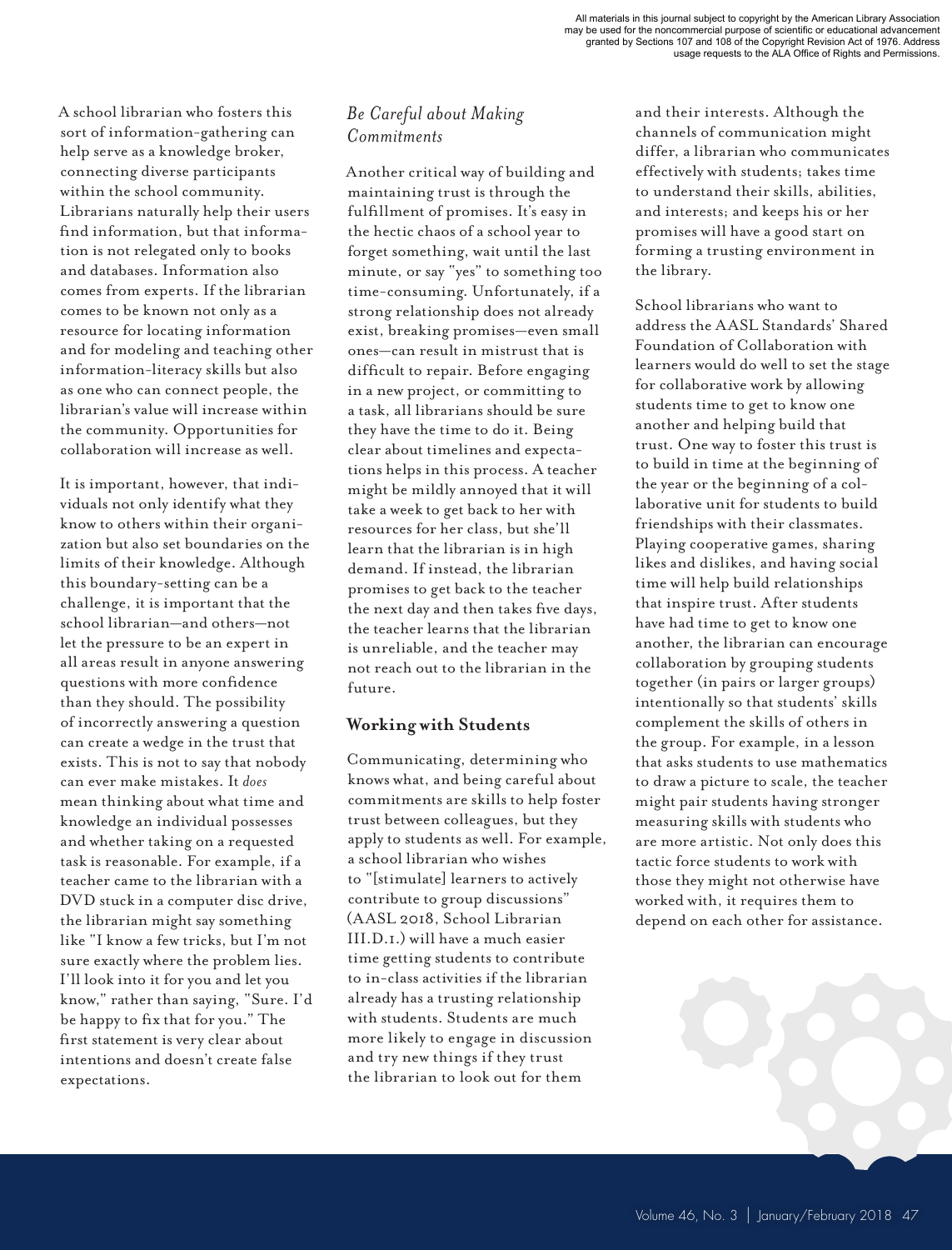A school librarian who fosters this sort of information-gathering can help serve as a knowledge broker, connecting diverse participants within the school community. Librarians naturally help their users find information, but that information is not relegated only to books and databases. Information also comes from experts. If the librarian comes to be known not only as a resource for locating information and for modeling and teaching other information-literacy skills but also as one who can connect people, the librarian's value will increase within the community. Opportunities for collaboration will increase as well.

It is important, however, that individuals not only identify what they know to others within their organization but also set boundaries on the limits of their knowledge. Although this boundary-setting can be a challenge, it is important that the school librarian—and others—not let the pressure to be an expert in all areas result in anyone answering questions with more confidence than they should. The possibility of incorrectly answering a question can create a wedge in the trust that exists. This is not to say that nobody can ever make mistakes. It *does* mean thinking about what time and knowledge an individual possesses and whether taking on a requested task is reasonable. For example, if a teacher came to the librarian with a DVD stuck in a computer disc drive, the librarian might say something like "I know a few tricks, but I'm not sure exactly where the problem lies. I'll look into it for you and let you know," rather than saying, "Sure. I'd be happy to fix that for you." The first statement is very clear about intentions and doesn't create false expectations.

#### *Be Careful about Making Commitments*

Another critical way of building and maintaining trust is through the fulfillment of promises. It's easy in the hectic chaos of a school year to forget something, wait until the last minute, or say "yes" to something too time-consuming. Unfortunately, if a strong relationship does not already exist, breaking promises—even small ones—can result in mistrust that is difficult to repair. Before engaging in a new project, or committing to a task, all librarians should be sure they have the time to do it. Being clear about timelines and expectations helps in this process. A teacher might be mildly annoyed that it will take a week to get back to her with resources for her class, but she'll learn that the librarian is in high demand. If instead, the librarian promises to get back to the teacher the next day and then takes five days, the teacher learns that the librarian is unreliable, and the teacher may not reach out to the librarian in the future.

#### **Working with Students**

Communicating, determining who knows what, and being careful about commitments are skills to help foster trust between colleagues, but they apply to students as well. For example, a school librarian who wishes to "[stimulate] learners to actively contribute to group discussions" (AASL 2018, School Librarian III.D.1.) will have a much easier time getting students to contribute to in-class activities if the librarian already has a trusting relationship with students. Students are much more likely to engage in discussion and try new things if they trust the librarian to look out for them

and their interests. Although the channels of communication might differ, a librarian who communicates effectively with students; takes time to understand their skills, abilities, and interests; and keeps his or her promises will have a good start on forming a trusting environment in the library.

School librarians who want to address the AASL Standards' Shared Foundation of Collaboration with learners would do well to set the stage for collaborative work by allowing students time to get to know one another and helping build that trust. One way to foster this trust is to build in time at the beginning of the year or the beginning of a collaborative unit for students to build friendships with their classmates. Playing cooperative games, sharing likes and dislikes, and having social time will help build relationships that inspire trust. After students have had time to get to know one another, the librarian can encourage collaboration by grouping students together (in pairs or larger groups) intentionally so that students' skills complement the skills of others in the group. For example, in a lesson that asks students to use mathematics to draw a picture to scale, the teacher might pair students having stronger measuring skills with students who are more artistic. Not only does this tactic force students to work with those they might not otherwise have worked with, it requires them to depend on each other for assistance.